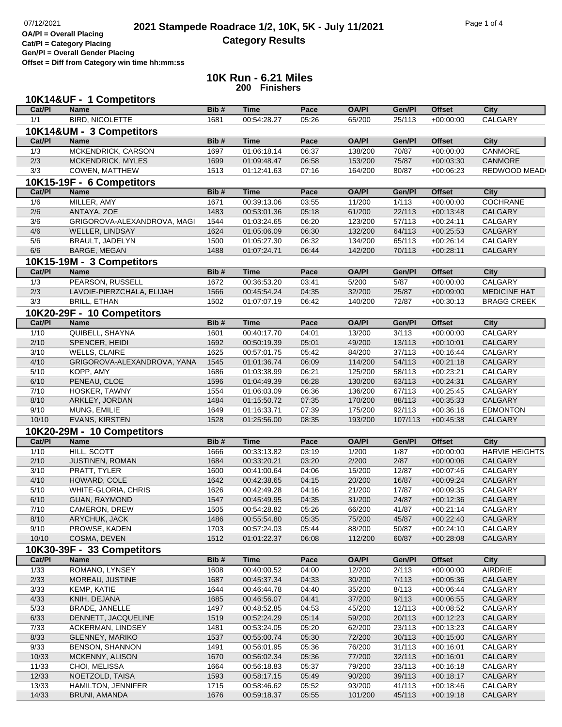**Cat/Pl = Category Placing Gen/Pl = Overall Gender Placing**

**OA/Pl = Overall Placing**

**Offset = Diff from Category win time hh:mm:ss**

**10K Run - 6.21 Miles 200 Finishers**

|                  | 10K14&UF - 1 Competitors    |              |             |       |              |         |               |                               |
|------------------|-----------------------------|--------------|-------------|-------|--------------|---------|---------------|-------------------------------|
| Cat/PI           | <b>Name</b>                 | Bib#         | <b>Time</b> | Pace  | <b>OA/PI</b> | Gen/Pl  | <b>Offset</b> | <b>City</b>                   |
| 1/1              | <b>BIRD, NICOLETTE</b>      | 1681         | 00:54:28.27 | 05:26 | 65/200       | 25/113  | $+00:00:00$   | <b>CALGARY</b>                |
|                  | 10K14&UM - 3 Competitors    |              |             |       |              |         |               |                               |
| Cat/PI           | <b>Name</b>                 | Bib#         | <b>Time</b> | Pace  | <b>OA/PI</b> | Gen/Pl  | <b>Offset</b> | <b>City</b>                   |
| 1/3              | MCKENDRICK, CARSON          | 1697         | 01:06:18.14 | 06:37 | 138/200      | 70/87   | $+00:00:00$   | CANMORE                       |
| 2/3              | MCKENDRICK, MYLES           | 1699         | 01:09:48.47 | 06:58 | 153/200      | 75/87   | $+00:03:30$   | CANMORE                       |
| $\overline{3/3}$ | COWEN, MATTHEW              | 1513         | 01:12:41.63 | 07:16 | 164/200      | 80/87   | $+00:06:23$   | REDWOOD MEAD                  |
|                  | 10K15-19F - 6 Competitors   |              |             |       |              |         |               |                               |
| Cat/PI           | <b>Name</b>                 | Bib#         | <b>Time</b> | Pace  | <b>OA/PI</b> | Gen/Pl  | <b>Offset</b> | <b>City</b>                   |
| 1/6              | MILLER, AMY                 | 1671         | 00:39:13.06 | 03:55 | 11/200       | 1/113   | $+00:00:00$   | <b>COCHRANE</b>               |
| 2/6              | ANTAYA, ZOE                 | 1483         | 00:53:01.36 | 05:18 | 61/200       | 22/113  | $+00:13:48$   | CALGARY                       |
| 3/6              | GRIGOROVA-ALEXANDROVA, MAGI | 1544         | 01:03:24.65 | 06:20 | 123/200      | 57/113  | $+00:24:11$   | CALGARY                       |
| 4/6              | WELLER, LINDSAY             | 1624         | 01:05:06.09 | 06:30 | 132/200      | 64/113  | $+00:25:53$   | CALGARY                       |
| 5/6              | BRAULT, JADELYN             | 1500         | 01:05:27.30 | 06:32 | 134/200      | 65/113  | $+00:26:14$   | CALGARY                       |
| 6/6              | BARGE, MEGAN                | 1488         | 01:07:24.71 | 06:44 | 142/200      | 70/113  | $+00:28:11$   | CALGARY                       |
|                  | 10K15-19M - 3 Competitors   |              |             |       |              |         |               |                               |
| Cat/PI           | <b>Name</b>                 | Bib#         | <b>Time</b> | Pace  | <b>OA/PI</b> | Gen/Pl  | <b>Offset</b> | <b>City</b>                   |
| 1/3              | PEARSON, RUSSELL            | 1672         | 00:36:53.20 | 03:41 | 5/200        | 5/87    | $+00.00.00$   | CALGARY                       |
| 2/3              | LAVOIE-PIERZCHALA, ELIJAH   | 1566         | 00:45:54.24 | 04:35 | 32/200       | 25/87   | $+00:09:00$   | <b>MEDICINE HAT</b>           |
| 3/3              | <b>BRILL, ETHAN</b>         | 1502         | 01:07:07.19 | 06:42 | 140/200      | 72/87   | $+00:30:13$   | <b>BRAGG CREEK</b>            |
|                  | 10K20-29F - 10 Competitors  |              |             |       |              |         |               |                               |
|                  | <b>Name</b>                 | Bib#         | <b>Time</b> | Pace  | <b>OA/PI</b> | Gen/Pl  |               |                               |
| Cat/PI           |                             |              |             |       | 13/200       |         | <b>Offset</b> | <b>City</b><br><b>CALGARY</b> |
| $\frac{1}{10}$   | QUIBELL, SHAYNA             | 1601<br>1692 | 00:40:17.70 | 04:01 |              | 3/113   | $+00:00:00$   |                               |
| 2/10             | SPENCER, HEIDI              |              | 00:50:19.39 | 05:01 | 49/200       | 13/113  | $+00:10:01$   | CALGARY                       |
| 3/10             | <b>WELLS, CLAIRE</b>        | 1625         | 00:57:01.75 | 05:42 | 84/200       | 37/113  | $+00:16:44$   | CALGARY                       |
| 4/10             | GRIGOROVA-ALEXANDROVA, YANA | 1545         | 01:01:36.74 | 06:09 | 114/200      | 54/113  | $+00:21:18$   | CALGARY                       |
| 5/10             | KOPP, AMY                   | 1686         | 01:03:38.99 | 06:21 | 125/200      | 58/113  | $+00:23:21$   | CALGARY                       |
| 6/10             | PENEAU, CLOE                | 1596         | 01:04:49.39 | 06:28 | 130/200      | 63/113  | $+00:24:31$   | CALGARY                       |
| 7/10             | HOSKER, TAWNY               | 1554         | 01:06:03.09 | 06:36 | 136/200      | 67/113  | $+00:25:45$   | CALGARY                       |
| 8/10             | ARKLEY, JORDAN              | 1484         | 01:15:50.72 | 07:35 | 170/200      | 88/113  | $+00:35:33$   | CALGARY                       |
| 9/10             | MUNG, EMILIE                | 1649         | 01:16:33.71 | 07:39 | 175/200      | 92/113  | $+00:36:16$   | <b>EDMONTON</b>               |
| 10/10            | EVANS, KIRSTEN              | 1528         | 01:25:56.00 | 08:35 | 193/200      | 107/113 | $+00:45:38$   | CALGARY                       |
|                  | 10K20-29M - 10 Competitors  |              |             |       |              |         |               |                               |
| Cat/PI           | <b>Name</b>                 | Bib#         | <b>Time</b> | Pace  | <b>OA/PI</b> | Gen/Pl  | <b>Offset</b> | <b>City</b>                   |
| 1/10             | HILL, SCOTT                 | 1666         | 00:33:13.82 | 03:19 | 1/200        | 1/87    | $+00:00:00$   | <b>HARVIE HEIGHTS</b>         |
| 2/10             | JUSTINEN, ROMAN             | 1684         | 00:33:20.21 | 03:20 | 2/200        | 2/87    | $+00:00:06$   | <b>CALGARY</b>                |
| 3/10             | PRATT, TYLER                | 1600         | 00:41:00.64 | 04:06 | 15/200       | 12/87   | $+00:07:46$   | CALGARY                       |
| 4/10             | HOWARD, COLE                | 1642         | 00:42:38.65 | 04:15 | 20/200       | 16/87   | $+00:09:24$   | CALGARY                       |
| 5/10             | WHITE-GLORIA, CHRIS         | 1626         | 00:42:49.28 | 04:16 | 21/200       | 17/87   | $+00:09:35$   | CALGARY                       |
| 6/10             | <b>GUAN, RAYMOND</b>        | 1547         | 00:45:49.95 | 04:35 | 31/200       | 24/87   | $+00:12:36$   | CALGARY                       |
| 7/10             | CAMERON, DREW               | 1505         | 00:54:28.82 | 05:26 | 66/200       | 41/87   | $+00:21:14$   | <b>CALGARY</b>                |
| 8/10             | ARYCHUK, JACK               | 1486         | 00:55:54.80 | 05:35 | 75/200       | 45/87   | $+00:22:40$   | CALGARY                       |
| 9/10             | PROWSE, KADEN               | 1703         | 00:57:24.03 | 05:44 | 88/200       | 50/87   | $+00:24:10$   | CALGARY                       |
| 10/10            | COSMA, DEVEN                | 1512         | 01:01:22.37 | 06:08 | 112/200      | 60/87   | $+00:28:08$   | CALGARY                       |
|                  | 10K30-39F - 33 Competitors  |              |             |       |              |         |               |                               |
| Cat/PI           | <b>Name</b>                 | Bib#         | <b>Time</b> | Pace  | <b>OA/PI</b> | Gen/Pl  | <b>Offset</b> | <b>City</b>                   |
| 1/33             | ROMANO, LYNSEY              | 1608         | 00:40:00.52 | 04:00 | 12/200       | 2/113   | $+00:00:00$   | AIRDRIE                       |
| 2/33             | MOREAU, JUSTINE             | 1687         | 00:45:37.34 | 04:33 | 30/200       | 7/113   | $+00:05:36$   | CALGARY                       |
| 3/33             | KEMP, KATIE                 | 1644         | 00:46:44.78 | 04:40 | 35/200       | 8/113   | $+00:06:44$   | CALGARY                       |
| 4/33             | KNIH, DEJANA                | 1685         | 00:46:56.07 | 04:41 | 37/200       | 9/113   | $+00:06:55$   | CALGARY                       |
| 5/33             | <b>BRADE, JANELLE</b>       | 1497         | 00:48:52.85 | 04:53 | 45/200       | 12/113  | $+00:08:52$   | CALGARY                       |
| 6/33             | DENNETT, JACQUELINE         | 1519         | 00:52:24.29 | 05:14 | 59/200       | 20/113  | $+00:12:23$   | CALGARY                       |
| 7/33             | ACKERMAN, LINDSEY           | 1481         | 00:53:24.05 | 05:20 | 62/200       | 23/113  | $+00:13:23$   | CALGARY                       |
| 8/33             | <b>GLENNEY, MARIKO</b>      | 1537         | 00:55:00.74 | 05:30 | 72/200       | 30/113  | $+00:15:00$   | CALGARY                       |
| 9/33             | BENSON, SHANNON             | 1491         | 00:56:01.95 | 05:36 | 76/200       | 31/113  | $+00:16:01$   | CALGARY                       |
| 10/33            | MCKENNY, ALISON             | 1670         | 00:56:02.34 | 05:36 | 77/200       | 32/113  | $+00:16:01$   | CALGARY                       |
| 11/33            | CHOI, MELISSA               | 1664         | 00:56:18.83 | 05:37 | 79/200       | 33/113  | $+00:16:18$   | CALGARY                       |
| 12/33            | NOETZOLD, TAISA             | 1593         | 00:58:17.15 | 05:49 | 90/200       | 39/113  | $+00:18:17$   | CALGARY                       |
| 13/33            | <b>HAMILTON, JENNIFER</b>   | 1715         | 00:58:46.62 | 05:52 | 93/200       | 41/113  | $+00:18:46$   | CALGARY                       |
| 14/33            | BRUNI, AMANDA               | 1676         | 00:59:18.37 | 05:55 | 101/200      | 45/113  | $+00:19:18$   | CALGARY                       |
|                  |                             |              |             |       |              |         |               |                               |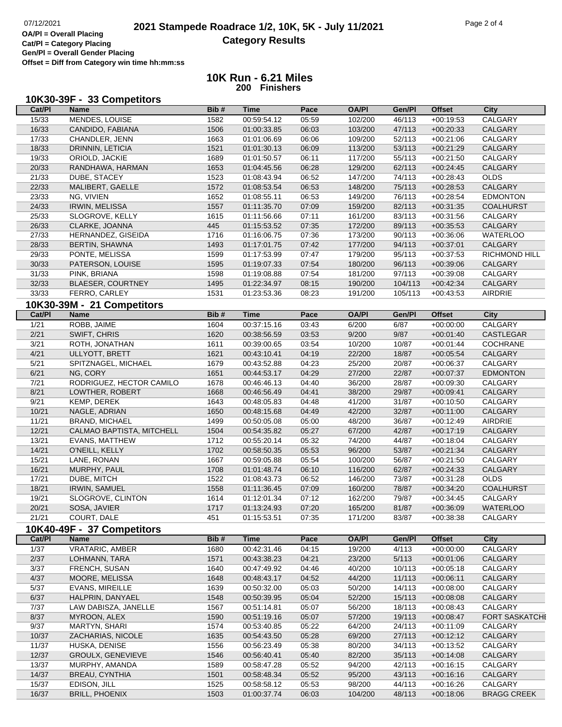Г

**OA/Pl = Overall Placing Cat/Pl = Category Placing Gen/Pl = Overall Gender Placing Offset = Diff from Category win time hh:mm:ss**

## **10K Run - 6.21 Miles 200 Finishers**

**Cat/Pl Name Bib # Time Pace OA/Pl Gen/Pl Offset City**

| 10K30-39F - 33 Competitors |
|----------------------------|
|----------------------------|

| 15/33          | MENDES, LOUISE             | 1582 | 00:59:54.12 | 05:59       | 102/200      | 46/113  | $+00:19:53$   | CALGARY              |
|----------------|----------------------------|------|-------------|-------------|--------------|---------|---------------|----------------------|
| 16/33          | CANDIDO, FABIANA           | 1506 | 01:00:33.85 | 06:03       | 103/200      | 47/113  | $+00:20:33$   | CALGARY              |
| 17/33          | CHANDLER, JENN             | 1663 | 01:01:06.69 | 06:06       | 109/200      | 52/113  | $+00:21:06$   | CALGARY              |
| 18/33          | DRINNIN, LETICIA           | 1521 | 01:01:30.13 | 06:09       | 113/200      | 53/113  | $+00:21:29$   | CALGARY              |
| 19/33          | ORIOLD, JACKIE             | 1689 | 01:01:50.57 | 06:11       | 117/200      | 55/113  | $+00:21:50$   | CALGARY              |
| 20/33          | RANDHAWA, HARMAN           | 1653 | 01:04:45.56 | 06:28       | 129/200      | 62/113  | $+00:24:45$   | CALGARY              |
| 21/33          | DUBE, STACEY               | 1523 | 01:08:43.94 | 06:52       | 147/200      | 74/113  | $+00:28:43$   | <b>OLDS</b>          |
| 22/33          | MALIBERT, GAELLE           | 1572 | 01:08:53.54 | 06:53       | 148/200      | 75/113  | $+00:28:53$   | CALGARY              |
| 23/33          | NG, VIVIEN                 | 1652 | 01:08:55.11 | 06:53       | 149/200      | 76/113  | $+00:28:54$   | <b>EDMONTON</b>      |
| 24/33          | <b>IRWIN, MELISSA</b>      | 1557 | 01:11:35.70 | 07:09       | 159/200      | 82/113  | $+00:31:35$   | <b>COALHURST</b>     |
| 25/33          | SLOGROVE, KELLY            | 1615 | 01:11:56.66 | 07:11       | 161/200      | 83/113  | $+00:31:56$   | CALGARY              |
| 26/33          | CLARKE, JOANNA             | 445  | 01:15:53.52 | 07:35       | 172/200      | 89/113  | $+00:35:53$   | CALGARY              |
| 27/33          | HERNANDEZ, GISEIDA         | 1716 | 01:16:06.75 | 07:36       | 173/200      | 90/113  | $+00:36:06$   | <b>WATERLOO</b>      |
| 28/33          | BERTIN, SHAWNA             | 1493 | 01:17:01.75 | 07:42       | 177/200      | 94/113  | $+00:37:01$   | CALGARY              |
| 29/33          | PONTE, MELISSA             | 1599 | 01:17:53.99 | 07:47       | 179/200      | 95/113  | $+00:37:53$   | <b>RICHMOND HILL</b> |
| 30/33          | PATERSON, LOUISE           | 1595 | 01:19:07.33 | 07:54       | 180/200      | 96/113  | $+00:39:06$   | CALGARY              |
| 31/33          | PINK, BRIANA               | 1598 | 01:19:08.88 | 07:54       | 181/200      | 97/113  | $+00:39:08$   | CALGARY              |
| 32/33          | <b>BLAESER, COURTNEY</b>   | 1495 | 01:22:34.97 | 08:15       | 190/200      | 104/113 | $+00:42:34$   | CALGARY              |
| 33/33          | FERRO, CARLEY              | 1531 | 01:23:53.36 | 08:23       | 191/200      | 105/113 | $+00:43:53$   | AIRDRIE              |
|                |                            |      |             |             |              |         |               |                      |
|                | 10K30-39M - 21 Competitors |      |             |             |              |         |               |                      |
| Cat/PI         | <b>Name</b>                | Bib# | <b>Time</b> | <b>Pace</b> | <b>OA/PI</b> | Gen/Pl  | <b>Offset</b> | <b>City</b>          |
| 1/21           | ROBB, JAIME                | 1604 | 00:37:15.16 | 03:43       | 6/200        | 6/87    | $+00:00:00$   | CALGARY              |
| 2/21           | SWIFT, CHRIS               | 1620 | 00:38:56.59 | 03:53       | 9/200        | 9/87    | $+00:01:40$   | CASTLEGAR            |
| 3/21           | ROTH, JONATHAN             | 1611 | 00:39:00.65 | 03:54       | 10/200       | 10/87   | $+00:01:44$   | COCHRANE             |
| 4/21           | ULLYOTT, BRETT             | 1621 | 00:43:10.41 | 04:19       | 22/200       | 18/87   | $+00:05:54$   | CALGARY              |
| 5/21           | SPITZNAGEL, MICHAEL        | 1679 | 00:43:52.88 | 04:23       | 25/200       | 20/87   | $+00:06:37$   | CALGARY              |
| 6/21           | NG, CORY                   | 1651 | 00:44:53.17 | 04:29       | 27/200       | 22/87   | $+00:07:37$   | <b>EDMONTON</b>      |
| $7/21$         | RODRIGUEZ, HECTOR CAMILO   | 1678 | 00:46:46.13 | 04:40       | 36/200       | 28/87   | $+00:09:30$   | CALGARY              |
| 8/21           | LOWTHER, ROBERT            | 1668 | 00:46:56.49 | 04:41       | 38/200       | 29/87   | $+00:09:41$   | CALGARY              |
| 9/21           | KEMP, DEREK                | 1643 | 00:48:05.83 | 04:48       | 41/200       | 31/87   | $+00:10:50$   | CALGARY              |
| 10/21          | NAGLE, ADRIAN              | 1650 | 00:48:15.68 | 04:49       | 42/200       | 32/87   | $+00:11:00$   | CALGARY              |
| 11/21          | BRAND, MICHAEL             | 1499 | 00:50:05.08 | 05:00       | 48/200       | 36/87   | $+00:12:49$   | AIRDRIE              |
| 12/21          | CALMAO BAPTISTA, MITCHELL  | 1504 | 00:54:35.82 | 05:27       | 67/200       | 42/87   | $+00:17:19$   | CALGARY              |
| 13/21          | <b>EVANS, MATTHEW</b>      | 1712 | 00:55:20.14 | 05:32       | 74/200       | 44/87   | $+00:18:04$   | CALGARY              |
| 14/21          | O'NEILL, KELLY             | 1702 | 00:58:50.35 | 05:53       | 96/200       | 53/87   | $+00:21:34$   | CALGARY              |
| 15/21          | LANE, RONAN                | 1667 | 00:59:05.88 | 05:54       | 100/200      | 56/87   | $+00:21:50$   | CALGARY              |
| 16/21          | MURPHY, PAUL               | 1708 | 01:01:48.74 | 06:10       | 116/200      | 62/87   | $+00:24:33$   | CALGARY              |
| 17/21          | DUBE, MITCH                | 1522 | 01:08:43.73 | 06:52       | 146/200      | 73/87   | $+00:31:28$   | <b>OLDS</b>          |
| 18/21          | IRWIN, SAMUEL              | 1558 | 01:11:36.45 | 07:09       | 160/200      | 78/87   | $+00:34:20$   | <b>COALHURST</b>     |
| 19/21          | SLOGROVE, CLINTON          | 1614 | 01:12:01.34 | 07:12       | 162/200      | 79/87   | $+00:34:45$   | CALGARY              |
| 20/21          | SOSA, JAVIER               | 1717 | 01:13:24.93 | 07:20       | 165/200      | 81/87   | $+00:36:09$   | <b>WATERLOO</b>      |
| 21/21          | COURT, DALE                | 451  | 01:15:53.51 | 07:35       | 171/200      | 83/87   | $+00:38:38$   | CALGARY              |
|                | 10K40-49F - 37 Competitors |      |             |             |              |         |               |                      |
| Cat/PI         | <b>Name</b>                | Bib# | <b>Time</b> | Pace        | <b>OA/PI</b> | Gen/Pl  | <b>Offset</b> | <b>City</b>          |
| 1/37           | <b>VRATARIC, AMBER</b>     | 1680 | 00:42:31.46 | 04:15       | 19/200       | 4/113   | $+00:00:00$   | CALGARY              |
| 2/37           | LOHMANN, TARA              | 1571 | 00:43:38.23 | 04:21       | 23/200       | 5/113   | $+00:01:06$   | CALGARY              |
| $\frac{3}{37}$ | FRENCH, SUSAN              | 1640 | 00:47:49.92 | 04:46       | 40/200       | 10/113  | $+00:05:18$   | CALGARY              |
| 4/37           | MOORE, MELISSA             | 1648 | 00:48:43.17 | 04:52       | 44/200       | 11/113  | $+00:06:11$   | CALGARY              |
| 5/37           | <b>EVANS, MIREILLE</b>     | 1639 | 00:50:32.00 | 05:03       | 50/200       | 14/113  | $+00:08:00$   | CALGARY              |
| 6/37           | HALPRIN, DANYAEL           | 1548 | 00:50:39.95 | 05:04       | 52/200       | 15/113  | $+00:08:08$   | CALGARY              |
| 7/37           | LAW DABISZA, JANELLE       | 1567 | 00:51:14.81 | 05:07       | 56/200       | 18/113  | $+00:08:43$   | CALGARY              |
| 8/37           | MYROON, ALEX               | 1590 | 00:51:19.16 | 05:07       | 57/200       | 19/113  | $+00:08:47$   | FORT SASKATCHE       |
| 9/37           | <b>MARTYN, SHARI</b>       | 1574 | 00:53:40.85 | 05:22       | 64/200       | 24/113  | $+00:11:09$   | CALGARY              |
| 10/37          | ZACHARIAS, NICOLE          | 1635 |             | 05:28       | 69/200       | 27/113  |               | CALGARY              |
|                |                            |      | 00:54:43.50 |             |              |         | $+00:12:12$   |                      |
| 11/37          | HUSKA, DENISE              | 1556 | 00:56:23.49 | 05:38       | 80/200       | 34/113  | $+00:13:52$   | CALGARY              |
| 12/37          | GROULX, GENEVIEVE          | 1546 | 00:56:40.41 | 05:40       | 82/200       | 35/113  | $+00:14:08$   | <b>CALGARY</b>       |
| 13/37          | MURPHY, AMANDA             | 1589 | 00:58:47.28 | 05:52       | 94/200       | 42/113  | $+00:16:15$   | CALGARY              |
| 14/37          |                            |      |             | 05:52       | 95/200       | 43/113  | $+00:16:16$   | <b>CALGARY</b>       |
|                | BREAU, CYNTHIA             | 1501 | 00:58:48.34 |             |              |         |               |                      |
| 15/37          | EDISON, JILL               | 1525 | 00:58:58.12 | 05:53       | 98/200       | 44/113  | $+00:16:26$   | CALGARY              |
| 16/37          | <b>BRILL, PHOENIX</b>      | 1503 | 01:00:37.74 | 06:03       | 104/200      | 48/113  | $+00:18:06$   | <b>BRAGG CREEK</b>   |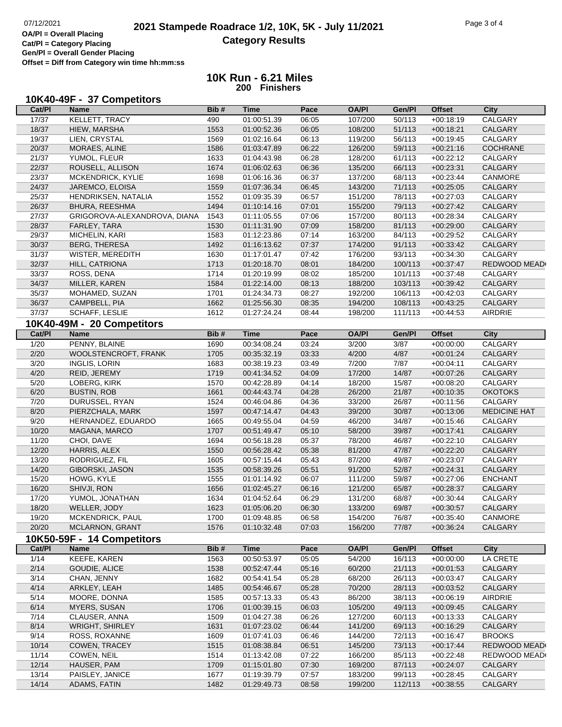**OA/Pl = Overall Placing Cat/Pl = Category Placing Gen/Pl = Overall Gender Placing Offset = Diff from Category win time hh:mm:ss**

## **10K Run - 6.21 Miles 200 Finishers**

| 10K40-49F - 37 Competitors |  |
|----------------------------|--|
|----------------------------|--|

| Cat/PI | Name                         | Bib# | Time        | Pace  | <b>OA/PI</b> | Gen/Pl  | <b>Offset</b> | City                |
|--------|------------------------------|------|-------------|-------|--------------|---------|---------------|---------------------|
| 17/37  | KELLETT, TRACY               | 490  | 01:00:51.39 | 06:05 | 107/200      | 50/113  | $+00:18:19$   | CALGARY             |
| 18/37  | HIEW, MARSHA                 | 1553 | 01:00:52.36 | 06:05 | 108/200      | 51/113  | $+00:18:21$   | CALGARY             |
| 19/37  | LIEN, CRYSTAL                | 1569 | 01:02:16.64 | 06:13 | 119/200      | 56/113  | $+00:19:45$   | CALGARY             |
| 20/37  | MORAES, ALINE                | 1586 | 01:03:47.89 | 06:22 | 126/200      | 59/113  | $+00:21:16$   | COCHRANE            |
| 21/37  | YUMOL, FLEUR                 | 1633 | 01:04:43.98 | 06:28 | 128/200      | 61/113  | $+00:22:12$   | CALGARY             |
| 22/37  | ROUSELL, ALLISON             | 1674 | 01:06:02.63 | 06:36 | 135/200      | 66/113  | $+00:23:31$   | CALGARY             |
| 23/37  | MCKENDRICK, KYLIE            | 1698 | 01:06:16.36 | 06:37 | 137/200      | 68/113  | $+00:23:44$   | CANMORE             |
| 24/37  | JAREMCO, ELOISA              | 1559 | 01:07:36.34 | 06:45 | 143/200      | 71/113  | $+00:25:05$   | CALGARY             |
| 25/37  | HENDRIKSEN, NATALIA          | 1552 | 01:09:35.39 | 06:57 | 151/200      | 78/113  | $+00:27:03$   | CALGARY             |
| 26/37  | <b>BHURA, REESHMA</b>        | 1494 | 01:10:14.16 | 07:01 | 155/200      | 79/113  | $+00:27:42$   | CALGARY             |
| 27/37  | GRIGOROVA-ALEXANDROVA, DIANA | 1543 | 01:11:05.55 | 07:06 | 157/200      | 80/113  | $+00:28:34$   | CALGARY             |
| 28/37  | FARLEY, TARA                 | 1530 | 01:11:31.90 | 07:09 | 158/200      | 81/113  | $+00:29:00$   | CALGARY             |
| 29/37  | MICHELIN, KARI               | 1583 | 01:12:23.86 | 07:14 | 163/200      | 84/113  | $+00:29:52$   | CALGARY             |
| 30/37  | <b>BERG, THERESA</b>         | 1492 | 01:16:13.62 | 07:37 | 174/200      | 91/113  | $+00:33:42$   | CALGARY             |
| 31/37  | WISTER, MEREDITH             | 1630 | 01:17:01.47 | 07:42 | 176/200      | 93/113  | $+00:34:30$   | CALGARY             |
| 32/37  | HILL, CATRIONA               | 1713 | 01:20:18.70 | 08:01 | 184/200      | 100/113 | $+00:37:47$   | REDWOOD MEAD        |
| 33/37  | ROSS, DENA                   | 1714 | 01:20:19.99 | 08:02 | 185/200      | 101/113 | $+00:37:48$   | CALGARY             |
| 34/37  | MILLER, KAREN                | 1584 | 01:22:14.00 | 08:13 | 188/200      | 103/113 | $+00:39:42$   | CALGARY             |
| 35/37  | MOHAMED, SUZAN               | 1701 | 01:24:34.73 | 08:27 | 192/200      | 106/113 | $+00:42:03$   | CALGARY             |
| 36/37  |                              | 1662 |             |       |              | 108/113 |               | CALGARY             |
|        | CAMPBELL, PIA                |      | 01:25:56.30 | 08:35 | 194/200      |         | $+00:43:25$   |                     |
| 37/37  | SCHAFF, LESLIE               | 1612 | 01:27:24.24 | 08:44 | 198/200      | 111/113 | $+00:44:53$   | <b>AIRDRIE</b>      |
|        | 10K40-49M - 20 Competitors   |      |             |       |              |         |               |                     |
| Cat/PI | <b>Name</b>                  | Bib# | <b>Time</b> | Pace  | <b>OA/PI</b> | Gen/Pl  | <b>Offset</b> | <b>City</b>         |
| 1/20   | PENNY, BLAINE                | 1690 | 00:34:08.24 | 03:24 | 3/200        | 3/87    | $+00:00:00$   | CALGARY             |
| 2/20   | WOOLSTENCROFT, FRANK         | 1705 | 00:35:32.19 | 03:33 | 4/200        | 4/87    | $+00:01:24$   | CALGARY             |
| 3/20   | <b>INGLIS, LORIN</b>         | 1683 | 00:38:19.23 | 03:49 | 7/200        | 7/87    | $+00:04:11$   | CALGARY             |
| 4/20   | REID, JEREMY                 | 1719 | 00:41:34.52 | 04:09 | 17/200       | 14/87   | $+00:07:26$   | CALGARY             |
| 5/20   | LOBERG, KIRK                 | 1570 | 00:42:28.89 | 04:14 | 18/200       | 15/87   | $+00:08:20$   | CALGARY             |
| 6/20   | <b>BUSTIN, ROB</b>           | 1661 | 00:44:43.74 | 04:28 | 26/200       | 21/87   | $+00:10:35$   | <b>OKOTOKS</b>      |
| 7/20   | DURUSSEL, RYAN               | 1524 | 00:46:04.86 | 04:36 | 33/200       | 26/87   | $+00:11:56$   | CALGARY             |
| 8/20   | PIERZCHALA, MARK             | 1597 | 00:47:14.47 | 04:43 | 39/200       | 30/87   | $+00:13:06$   | <b>MEDICINE HAT</b> |
| 9/20   | HERNANDEZ, EDUARDO           | 1665 | 00:49:55.04 | 04:59 | 46/200       | 34/87   | $+00:15:46$   | CALGARY             |
| 10/20  | MAGANA, MARCO                | 1707 | 00:51:49.47 | 05:10 | 58/200       | 39/87   | $+00:17:41$   | CALGARY             |
| 11/20  | CHOI, DAVE                   | 1694 | 00:56:18.28 | 05:37 | 78/200       | 46/87   | $+00:22:10$   | CALGARY             |
| 12/20  | HARRIS, ALEX                 | 1550 | 00:56:28.42 | 05:38 | 81/200       | 47/87   | $+00:22:20$   | CALGARY             |
| 13/20  | RODRIGUEZ, FIL               | 1605 | 00:57:15.44 | 05:43 | 87/200       | 49/87   | $+00:23:07$   | CALGARY             |
| 14/20  | GIBORSKI, JASON              | 1535 | 00:58:39.26 | 05:51 | 91/200       | 52/87   | $+00:24:31$   | CALGARY             |
| 15/20  | HOWG, KYLE                   | 1555 | 01:01:14.92 | 06:07 | 111/200      | 59/87   | $+00:27:06$   | <b>ENCHANT</b>      |
| 16/20  | SHIVJI, RON                  | 1656 | 01:02:45.27 | 06:16 | 121/200      | 65/87   | $+00:28:37$   | CALGARY             |
| 17/20  | YUMOL, JONATHAN              | 1634 | 01:04:52.64 | 06:29 | 131/200      | 68/87   | $+00:30:44$   | CALGARY             |
| 18/20  | WELLER, JODY                 | 1623 | 01:05:06.20 | 06:30 | 133/200      | 69/87   | $+00:30:57$   | CALGARY             |
| 19/20  | MCKENDRICK, PAUL             | 1700 | 01:09:48.85 | 06:58 | 154/200      | 76/87   | $+00:35:40$   | CANMORE             |
| 20/20  | MCLARNON, GRANT              | 1576 | 01:10:32.48 | 07:03 | 156/200      | 77/87   | $+00:36:24$   | CALGARY             |
|        |                              |      |             |       |              |         |               |                     |
|        | 10K50-59F - 14 Competitors   |      |             |       |              |         |               |                     |
| Cat/PI | <b>Name</b>                  | Bib# | <b>Time</b> | Pace  | <b>OA/PI</b> | Gen/Pl  | <b>Offset</b> | City                |
| 1/14   | KEEFE, KAREN                 | 1563 | 00:50:53.97 | 05:05 | 54/200       | 16/113  | $+00:00:00$   | LA CRETE            |
| 2/14   | GOUDIE, ALICE                | 1538 | 00:52:47.44 | 05:16 | 60/200       | 21/113  | $+00:01:53$   | CALGARY             |
| 3/14   | CHAN, JENNY                  | 1682 | 00:54:41.54 | 05:28 | 68/200       | 26/113  | $+00:03:47$   | CALGARY             |
| 4/14   | ARKLEY, LEAH                 | 1485 | 00:54:46.67 | 05:28 | 70/200       | 28/113  | $+00:03:52$   | CALGARY             |
| 5/14   | MOORE, DONNA                 | 1585 | 00:57:13.33 | 05:43 | 86/200       | 38/113  | $+00:06:19$   | AIRDRIE             |
| 6/14   | <b>MYERS, SUSAN</b>          | 1706 | 01:00:39.15 | 06:03 | 105/200      | 49/113  | $+00:09:45$   | CALGARY             |
| 7/14   | CLAUSER, ANNA                | 1509 | 01:04:27.38 | 06:26 | 127/200      | 60/113  | $+00:13:33$   | CALGARY             |
| 8/14   | <b>WRIGHT, SHIRLEY</b>       | 1631 | 01:07:23.02 | 06:44 | 141/200      | 69/113  | $+00:16:29$   | CALGARY             |
| 9/14   | <b>ROSS, ROXANNE</b>         | 1609 | 01:07:41.03 | 06:46 | 144/200      | 72/113  | $+00:16:47$   | <b>BROOKS</b>       |
| 10/14  | <b>COWEN, TRACEY</b>         | 1515 | 01:08:38.84 | 06:51 | 145/200      | 73/113  | $+00:17:44$   | REDWOOD MEAD        |
| 11/14  | COWEN, NEIL                  | 1514 | 01:13:42.08 | 07:22 | 166/200      | 85/113  | $+00:22:48$   | REDWOOD MEAD        |
| 12/14  | HAUSER, PAM                  | 1709 | 01:15:01.80 | 07:30 | 169/200      | 87/113  | $+00:24:07$   | CALGARY             |
| 13/14  | PAISLEY, JANICE              | 1677 | 01:19:39.79 | 07:57 | 183/200      | 99/113  | $+00:28:45$   | CALGARY             |
|        |                              |      |             |       |              |         |               |                     |
| 14/14  | ADAMS, FATIN                 | 1482 | 01:29:49.73 | 08:58 | 199/200      | 112/113 | $+00:38:55$   | CALGARY             |